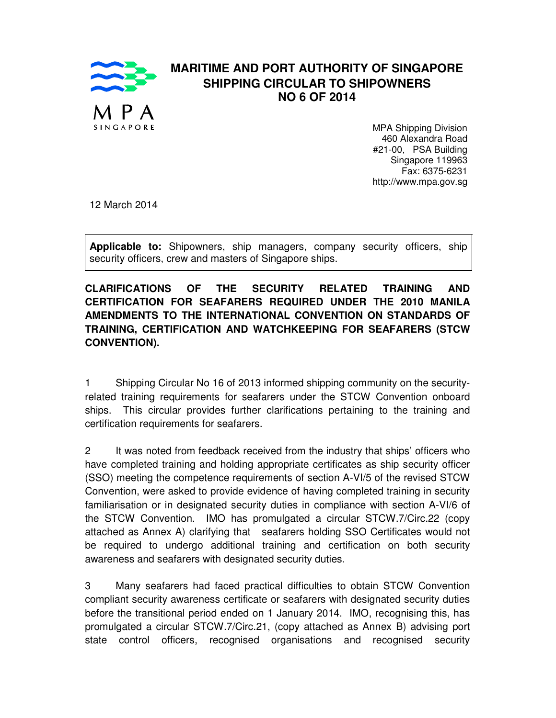

## **MARITIME AND PORT AUTHORITY OF SINGAPORE SHIPPING CIRCULAR TO SHIPOWNERS NO 6 OF 2014**

MPA Shipping Division 460 Alexandra Road #21-00, PSA Building Singapore 119963 Fax: 6375-6231 http://www.mpa.gov.sg

12 March 2014

**Applicable to:** Shipowners, ship managers, company security officers, ship security officers, crew and masters of Singapore ships.

**CLARIFICATIONS OF THE SECURITY RELATED TRAINING AND CERTIFICATION FOR SEAFARERS REQUIRED UNDER THE 2010 MANILA AMENDMENTS TO THE INTERNATIONAL CONVENTION ON STANDARDS OF TRAINING, CERTIFICATION AND WATCHKEEPING FOR SEAFARERS (STCW CONVENTION).** 

1 Shipping Circular No 16 of 2013 informed shipping community on the securityrelated training requirements for seafarers under the STCW Convention onboard ships. This circular provides further clarifications pertaining to the training and certification requirements for seafarers.

2 It was noted from feedback received from the industry that ships' officers who have completed training and holding appropriate certificates as ship security officer (SSO) meeting the competence requirements of section A-VI/5 of the revised STCW Convention, were asked to provide evidence of having completed training in security familiarisation or in designated security duties in compliance with section A-VI/6 of the STCW Convention. IMO has promulgated a circular STCW.7/Circ.22 (copy attached as Annex A) clarifying that seafarers holding SSO Certificates would not be required to undergo additional training and certification on both security awareness and seafarers with designated security duties.

3 Many seafarers had faced practical difficulties to obtain STCW Convention compliant security awareness certificate or seafarers with designated security duties before the transitional period ended on 1 January 2014. IMO, recognising this, has promulgated a circular STCW.7/Circ.21, (copy attached as Annex B) advising port state control officers, recognised organisations and recognised security